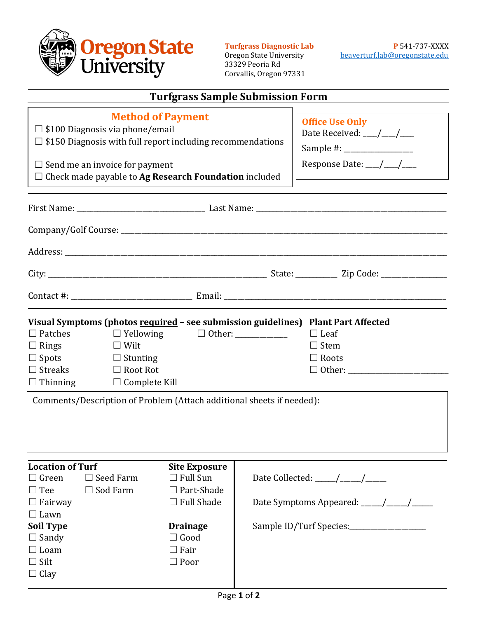

33329 Peoria Rd Corvallis, Oregon 97331

| <b>Turfgrass Sample Submission Form</b>                                                                                                                                                                                                                                                                                                                                                          |                                                                                                                                                                                                                                                  |                                                                                                                                            |  |                                                                              |  |  |
|--------------------------------------------------------------------------------------------------------------------------------------------------------------------------------------------------------------------------------------------------------------------------------------------------------------------------------------------------------------------------------------------------|--------------------------------------------------------------------------------------------------------------------------------------------------------------------------------------------------------------------------------------------------|--------------------------------------------------------------------------------------------------------------------------------------------|--|------------------------------------------------------------------------------|--|--|
|                                                                                                                                                                                                                                                                                                                                                                                                  | <b>Method of Payment</b><br>$\Box$ \$100 Diagnosis via phone/email<br>$\Box$ \$150 Diagnosis with full report including recommendations<br>$\Box$ Send me an invoice for payment<br>$\Box$ Check made payable to Ag Research Foundation included |                                                                                                                                            |  | <b>Office Use Only</b><br>Date Received: __/__/__<br>Response Date: __/__/__ |  |  |
|                                                                                                                                                                                                                                                                                                                                                                                                  |                                                                                                                                                                                                                                                  |                                                                                                                                            |  |                                                                              |  |  |
|                                                                                                                                                                                                                                                                                                                                                                                                  |                                                                                                                                                                                                                                                  |                                                                                                                                            |  |                                                                              |  |  |
|                                                                                                                                                                                                                                                                                                                                                                                                  |                                                                                                                                                                                                                                                  |                                                                                                                                            |  |                                                                              |  |  |
|                                                                                                                                                                                                                                                                                                                                                                                                  |                                                                                                                                                                                                                                                  |                                                                                                                                            |  |                                                                              |  |  |
|                                                                                                                                                                                                                                                                                                                                                                                                  |                                                                                                                                                                                                                                                  |                                                                                                                                            |  |                                                                              |  |  |
| Visual Symptoms (photos required - see submission guidelines) Plant Part Affected<br>$\Box$ Patches<br>$\Box$ Yellowing<br>$\Box$ Leaf<br>$\Box$ Wilt<br>$\Box$ Stem<br>$\Box$ Rings<br>$\Box$ Spots<br>$\Box$ Stunting<br>$\Box$ Roots<br>$\Box$ Streaks<br>$\Box$ Root Rot<br>$\Box$ Thinning<br>$\Box$ Complete Kill<br>Comments/Description of Problem (Attach additional sheets if needed): |                                                                                                                                                                                                                                                  |                                                                                                                                            |  |                                                                              |  |  |
| <b>Location of Turf</b><br>$\Box$ Green<br>$\Box$ Tee<br>$\Box$ Fairway<br>$\Box$ Lawn<br><b>Soil Type</b><br>$\Box$ Sandy<br>$\Box$ Loam<br>$\Box$ Silt<br>$\Box$ Clay                                                                                                                                                                                                                          | $\Box$ Seed Farm<br>$\Box$ Sod Farm                                                                                                                                                                                                              | <b>Site Exposure</b><br>$\Box$ Full Sun<br>Part-Shade<br>$\Box$ Full Shade<br><b>Drainage</b><br>$\Box$ Good<br>$\Box$ Fair<br>$\Box$ Poor |  | Sample ID/Turf Species:_____________________                                 |  |  |